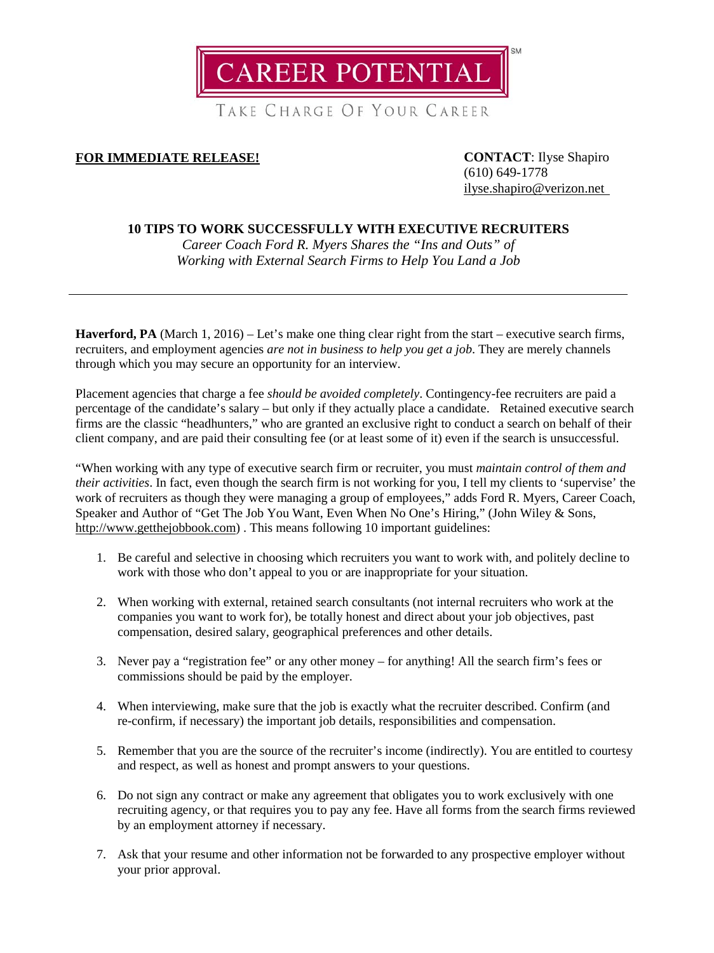

TAKE CHARGE OF YOUR CAREER

# **FOR IMMEDIATE RELEASE! CONTACT**: Ilyse Shapiro

(610) 649-1778 [ilyse.shapiro@verizon.net](mailto:ilyse.shapiro@verizon.net)

# **10 TIPS TO WORK SUCCESSFULLY WITH EXECUTIVE RECRUITERS**

*Career Coach Ford R. Myers Shares the "Ins and Outs" of Working with External Search Firms to Help You Land a Job*

**Haverford, PA** (March 1, 2016) – Let's make one thing clear right from the start – executive search firms, recruiters, and employment agencies *are not in business to help you get a job*. They are merely channels through which you may secure an opportunity for an interview.

Placement agencies that charge a fee *should be avoided completely*. Contingency-fee recruiters are paid a percentage of the candidate's salary – but only if they actually place a candidate. Retained executive search firms are the classic "headhunters," who are granted an exclusive right to conduct a search on behalf of their client company, and are paid their consulting fee (or at least some of it) even if the search is unsuccessful.

"When working with any type of executive search firm or recruiter, you must *maintain control of them and their activities*. In fact, even though the search firm is not working for you, I tell my clients to 'supervise' the work of recruiters as though they were managing a group of employees," adds Ford R. Myers, Career Coach, Speaker and Author of "Get The Job You Want, Even When No One's Hiring," (John Wiley & Sons, [http://www.getthejobbook.com\)](http://www.getthejobbook.com/). This means following 10 important guidelines:

- 1. Be careful and selective in choosing which recruiters you want to work with, and politely decline to work with those who don't appeal to you or are inappropriate for your situation.
- 2. When working with external, retained search consultants (not internal recruiters who work at the companies you want to work for), be totally honest and direct about your job objectives, past compensation, desired salary, geographical preferences and other details.
- 3. Never pay a "registration fee" or any other money for anything! All the search firm's fees or commissions should be paid by the employer.
- 4. When interviewing, make sure that the job is exactly what the recruiter described. Confirm (and re-confirm, if necessary) the important job details, responsibilities and compensation.
- 5. Remember that you are the source of the recruiter's income (indirectly). You are entitled to courtesy and respect, as well as honest and prompt answers to your questions.
- 6. Do not sign any contract or make any agreement that obligates you to work exclusively with one recruiting agency, or that requires you to pay any fee. Have all forms from the search firms reviewed by an employment attorney if necessary.
- 7. Ask that your resume and other information not be forwarded to any prospective employer without your prior approval.